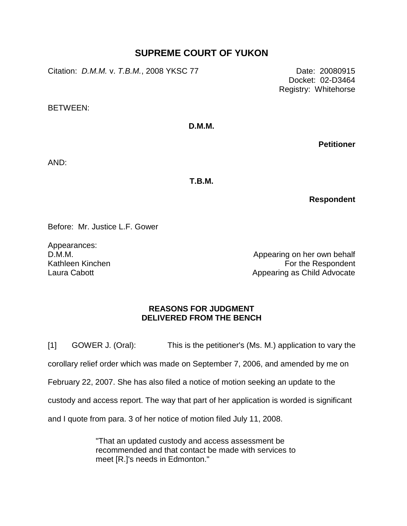## **SUPREME COURT OF YUKON**

Citation: *D.M.M.* v. *T.B.M.*, 2008 YKSC 77 Date: 20080915

Docket: 02-D3464 Registry: Whitehorse

BETWEEN:

**D.M.M.**

**Petitioner**

AND:

**T.B.M.**

**Respondent**

Before: Mr. Justice L.F. Gower

Appearances: D.M.M. Kathleen Kinchen Laura Cabott

Appearing on her own behalf For the Respondent Appearing as Child Advocate

## **REASONS FOR JUDGMENT DELIVERED FROM THE BENCH**

[1] GOWER J. (Oral): This is the petitioner's (Ms. M.) application to vary the corollary relief order which was made on September 7, 2006, and amended by me on February 22, 2007. She has also filed a notice of motion seeking an update to the custody and access report. The way that part of her application is worded is significant and I quote from para. 3 of her notice of motion filed July 11, 2008.

> "That an updated custody and access assessment be recommended and that contact be made with services to meet [R.]'s needs in Edmonton."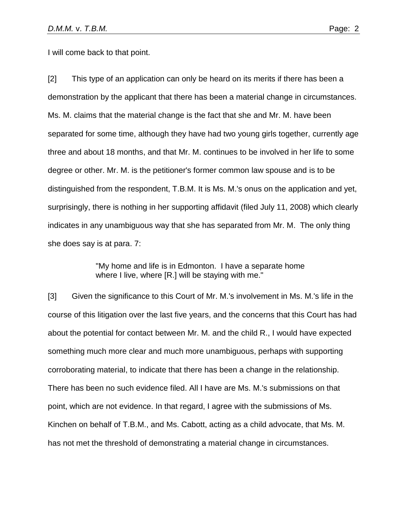I will come back to that point.

[2] This type of an application can only be heard on its merits if there has been a demonstration by the applicant that there has been a material change in circumstances. Ms. M. claims that the material change is the fact that she and Mr. M. have been separated for some time, although they have had two young girls together, currently age three and about 18 months, and that Mr. M. continues to be involved in her life to some degree or other. Mr. M. is the petitioner's former common law spouse and is to be distinguished from the respondent, T.B.M. It is Ms. M.'s onus on the application and yet, surprisingly, there is nothing in her supporting affidavit (filed July 11, 2008) which clearly indicates in any unambiguous way that she has separated from Mr. M. The only thing she does say is at para. 7:

> "My home and life is in Edmonton. I have a separate home where I live, where [R.] will be staying with me."

[3] Given the significance to this Court of Mr. M.'s involvement in Ms. M.'s life in the course of this litigation over the last five years, and the concerns that this Court has had about the potential for contact between Mr. M. and the child R., I would have expected something much more clear and much more unambiguous, perhaps with supporting corroborating material, to indicate that there has been a change in the relationship. There has been no such evidence filed. All I have are Ms. M.'s submissions on that point, which are not evidence. In that regard, I agree with the submissions of Ms. Kinchen on behalf of T.B.M., and Ms. Cabott, acting as a child advocate, that Ms. M. has not met the threshold of demonstrating a material change in circumstances.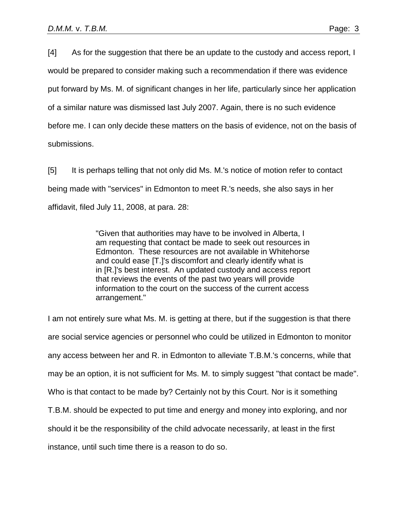[4] As for the suggestion that there be an update to the custody and access report, I would be prepared to consider making such a recommendation if there was evidence put forward by Ms. M. of significant changes in her life, particularly since her application of a similar nature was dismissed last July 2007. Again, there is no such evidence before me. I can only decide these matters on the basis of evidence, not on the basis of submissions.

[5] It is perhaps telling that not only did Ms. M.'s notice of motion refer to contact being made with "services" in Edmonton to meet R.'s needs, she also says in her affidavit, filed July 11, 2008, at para. 28:

> "Given that authorities may have to be involved in Alberta, I am requesting that contact be made to seek out resources in Edmonton. These resources are not available in Whitehorse and could ease [T.]'s discomfort and clearly identify what is in [R.]'s best interest. An updated custody and access report that reviews the events of the past two years will provide information to the court on the success of the current access arrangement."

I am not entirely sure what Ms. M. is getting at there, but if the suggestion is that there are social service agencies or personnel who could be utilized in Edmonton to monitor any access between her and R. in Edmonton to alleviate T.B.M.'s concerns, while that may be an option, it is not sufficient for Ms. M. to simply suggest "that contact be made". Who is that contact to be made by? Certainly not by this Court. Nor is it something T.B.M. should be expected to put time and energy and money into exploring, and nor should it be the responsibility of the child advocate necessarily, at least in the first instance, until such time there is a reason to do so.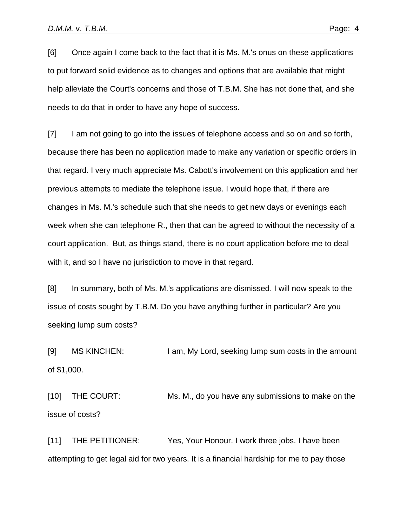[6] Once again I come back to the fact that it is Ms. M.'s onus on these applications to put forward solid evidence as to changes and options that are available that might help alleviate the Court's concerns and those of T.B.M. She has not done that, and she needs to do that in order to have any hope of success.

[7] I am not going to go into the issues of telephone access and so on and so forth, because there has been no application made to make any variation or specific orders in that regard. I very much appreciate Ms. Cabott's involvement on this application and her previous attempts to mediate the telephone issue. I would hope that, if there are changes in Ms. M.'s schedule such that she needs to get new days or evenings each week when she can telephone R., then that can be agreed to without the necessity of a court application. But, as things stand, there is no court application before me to deal with it, and so I have no jurisdiction to move in that regard.

[8] In summary, both of Ms. M.'s applications are dismissed. I will now speak to the issue of costs sought by T.B.M. Do you have anything further in particular? Are you seeking lump sum costs?

[9] MS KINCHEN: I am, My Lord, seeking lump sum costs in the amount of \$1,000.

[10] THE COURT: Ms. M., do you have any submissions to make on the issue of costs?

[11] THE PETITIONER: Yes, Your Honour. I work three jobs. I have been attempting to get legal aid for two years. It is a financial hardship for me to pay those